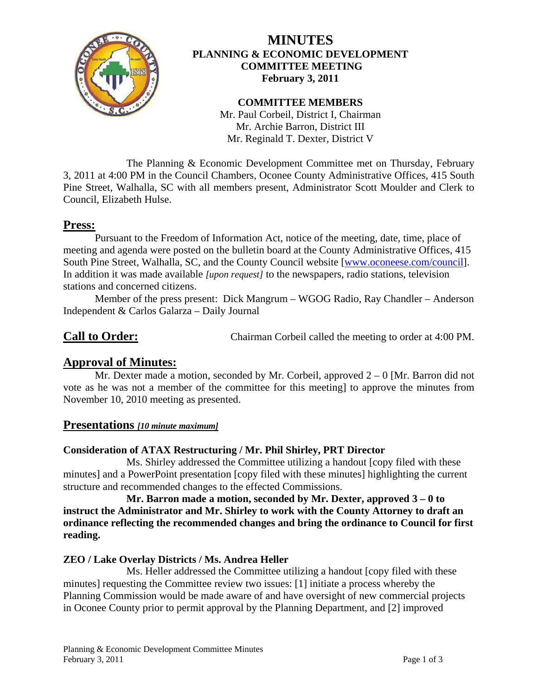

# **MINUTES PLANNING & ECONOMIC DEVELOPMENT COMMITTEE MEETING February 3, 2011**

## **COMMITTEE MEMBERS**

Mr. Paul Corbeil, District I, Chairman Mr. Archie Barron, District III Mr. Reginald T. Dexter, District V

 The Planning & Economic Development Committee met on Thursday, February 3, 2011 at 4:00 PM in the Council Chambers, Oconee County Administrative Offices, 415 South Pine Street, Walhalla, SC with all members present, Administrator Scott Moulder and Clerk to Council, Elizabeth Hulse.

# **Press:**

 Pursuant to the Freedom of Information Act, notice of the meeting, date, time, place of meeting and agenda were posted on the bulletin board at the County Administrative Offices, 415 South Pine Street, Walhalla, SC, and the County Council website [\[www.oconeese.com/council\]](http://www.oconeese.com/council). In addition it was made available *[upon request]* to the newspapers, radio stations, television stations and concerned citizens.

Member of the press present: Dick Mangrum – WGOG Radio, Ray Chandler – Anderson Independent & Carlos Galarza – Daily Journal

**Call to Order:** Chairman Corbeil called the meeting to order at 4:00 PM.

# **Approval of Minutes:**

Mr. Dexter made a motion, seconded by Mr. Corbeil, approved  $2 - 0$  [Mr. Barron did not vote as he was not a member of the committee for this meeting] to approve the minutes from November 10, 2010 meeting as presented.

## **Presentations** *[10 minute maximum]*

# **Consideration of ATAX Restructuring / Mr. Phil Shirley, PRT Director**

 Ms. Shirley addressed the Committee utilizing a handout [copy filed with these minutes] and a PowerPoint presentation [copy filed with these minutes] highlighting the current structure and recommended changes to the effected Commissions.

 **Mr. Barron made a motion, seconded by Mr. Dexter, approved 3 – 0 to instruct the Administrator and Mr. Shirley to work with the County Attorney to draft an ordinance reflecting the recommended changes and bring the ordinance to Council for first reading.** 

# **ZEO / Lake Overlay Districts / Ms. Andrea Heller**

 Ms. Heller addressed the Committee utilizing a handout [copy filed with these minutes] requesting the Committee review two issues: [1] initiate a process whereby the Planning Commission would be made aware of and have oversight of new commercial projects in Oconee County prior to permit approval by the Planning Department, and [2] improved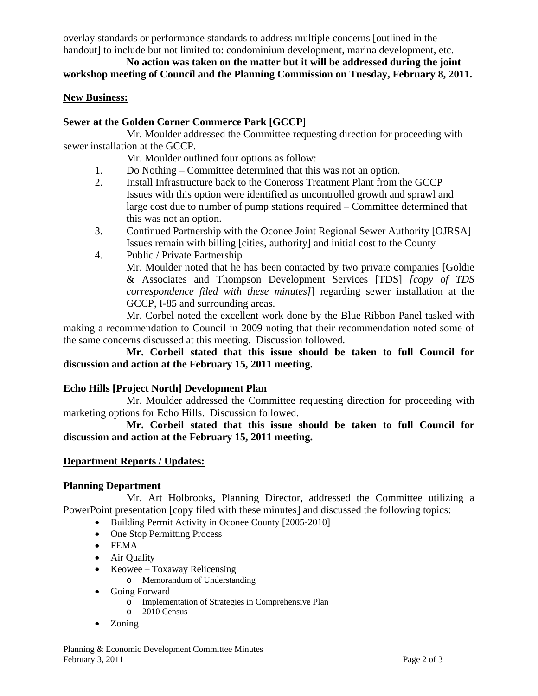overlay standards or performance standards to address multiple concerns [outlined in the handout] to include but not limited to: condominium development, marina development, etc.

# **No action was taken on the matter but it will be addressed during the joint workshop meeting of Council and the Planning Commission on Tuesday, February 8, 2011.**

## **New Business:**

# **Sewer at the Golden Corner Commerce Park [GCCP]**

 Mr. Moulder addressed the Committee requesting direction for proceeding with sewer installation at the GCCP.

Mr. Moulder outlined four options as follow:

- 1. Do Nothing Committee determined that this was not an option.
- 2. Install Infrastructure back to the Coneross Treatment Plant from the GCCP Issues with this option were identified as uncontrolled growth and sprawl and large cost due to number of pump stations required – Committee determined that this was not an option.
- 3. Continued Partnership with the Oconee Joint Regional Sewer Authority [OJRSA] Issues remain with billing [cities, authority] and initial cost to the County
- 4. Public / Private Partnership

Mr. Moulder noted that he has been contacted by two private companies [Goldie & Associates and Thompson Development Services [TDS] *[copy of TDS correspondence filed with these minutes]*] regarding sewer installation at the GCCP, I-85 and surrounding areas.

 Mr. Corbel noted the excellent work done by the Blue Ribbon Panel tasked with making a recommendation to Council in 2009 noting that their recommendation noted some of the same concerns discussed at this meeting. Discussion followed.

 **Mr. Corbeil stated that this issue should be taken to full Council for discussion and action at the February 15, 2011 meeting.** 

# **Echo Hills [Project North] Development Plan**

 Mr. Moulder addressed the Committee requesting direction for proceeding with marketing options for Echo Hills. Discussion followed.

 **Mr. Corbeil stated that this issue should be taken to full Council for discussion and action at the February 15, 2011 meeting.** 

# **Department Reports / Updates:**

# **Planning Department**

 Mr. Art Holbrooks, Planning Director, addressed the Committee utilizing a PowerPoint presentation [copy filed with these minutes] and discussed the following topics:

- Building Permit Activity in Oconee County [2005-2010]
- One Stop Permitting Process
- FEMA
- Air Quality
- Keowee Toxaway Relicensing
	- o Memorandum of Understanding
- Going Forward
	- o Implementation of Strategies in Comprehensive Plan
	- o 2010 Census
- Zoning